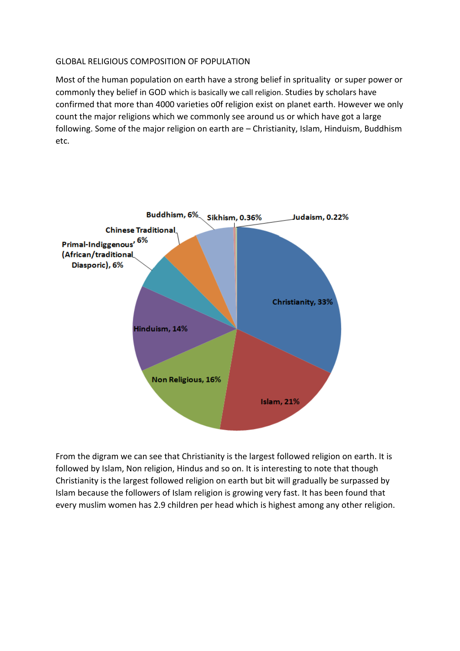## GLOBAL RELIGIOUS COMPOSITION OF POPULATION

Most of the human population on earth have a strong belief in sprituality or super power or commonly they belief in GOD which is basically we call religion. Studies by scholars have confirmed that more than 4000 varieties o0f religion exist on planet earth. However we only count the major religions which we commonly see around us or which have got a large following. Some of the major religion on earth are – Christianity, Islam, Hinduism, Buddhism etc.



From the digram we can see that Christianity is the largest followed religion on earth. It is followed by Islam, Non religion, Hindus and so on. It is interesting to note that though Christianity is the largest followed religion on earth but bit will gradually be surpassed by Islam because the followers of Islam religion is growing very fast. It has been found that every muslim women has 2.9 children per head which is highest among any other religion.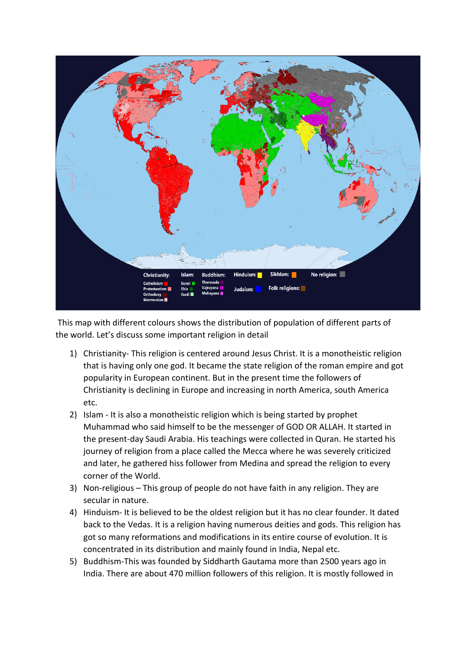

This map with different colours shows the distribution of population of different parts of the world. Let's discuss some important religion in detail

- 1) Christianity- This religion is centered around Jesus Christ. It is a monotheistic religion that is having only one god. It became the state religion of the roman empire and got popularity in European continent. But in the present time the followers of Christianity is declining in Europe and increasing in north America, south America etc.
- 2) Islam It is also a monotheistic religion which is being started by prophet Muhammad who said himself to be the messenger of GOD OR ALLAH. It started in the present-day Saudi Arabia. His teachings were collected in Quran. He started his journey of religion from a place called the Mecca where he was severely criticized and later, he gathered hiss follower from Medina and spread the religion to every corner of the World.
- 3) Non-religious This group of people do not have faith in any religion. They are secular in nature.
- 4) Hinduism- It is believed to be the oldest religion but it has no clear founder. It dated back to the Vedas. It is a religion having numerous deities and gods. This religion has got so many reformations and modifications in its entire course of evolution. It is concentrated in its distribution and mainly found in India, Nepal etc.
- 5) Buddhism-This was founded by Siddharth Gautama more than 2500 years ago in India. There are about 470 million followers of this religion. It is mostly followed in